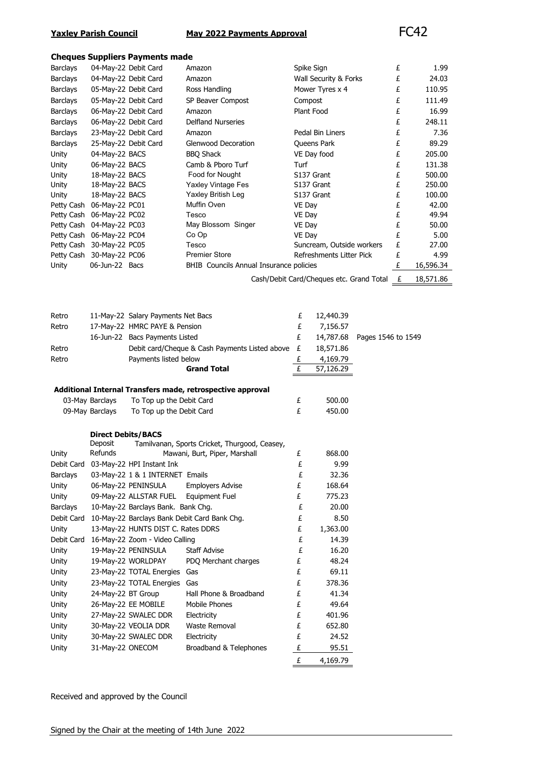# **Yaxley Parish Council May 2022 Payments Approval** FC42

### **Cheques Suppliers Payments made**

|                 |                           | Cricques Supplicis rayiliciits illauc     |                                                            |                       |                                          |   |           |
|-----------------|---------------------------|-------------------------------------------|------------------------------------------------------------|-----------------------|------------------------------------------|---|-----------|
| Barclays        |                           | 04-May-22 Debit Card<br>Amazon            |                                                            |                       | Spike Sign                               | £ | 1.99      |
| Barclays        |                           | 04-May-22 Debit Card<br>Amazon            |                                                            | Wall Security & Forks |                                          |   | 24.03     |
| Barclays        |                           | 05-May-22 Debit Card<br>Ross Handling     |                                                            | Mower Tyres x 4       |                                          |   | 110.95    |
| <b>Barclays</b> |                           | SP Beaver Compost<br>05-May-22 Debit Card |                                                            |                       | Compost                                  | £ | 111.49    |
| Barclays        |                           | 06-May-22 Debit Card                      | Amazon                                                     |                       | Plant Food                               | £ | 16.99     |
| <b>Barclays</b> |                           | 06-May-22 Debit Card                      | Delfland Nurseries                                         |                       |                                          | £ | 248.11    |
| <b>Barclays</b> |                           | 23-May-22 Debit Card                      | Amazon                                                     |                       | Pedal Bin Liners                         | £ | 7.36      |
| Barclays        | 25-May-22 Debit Card      |                                           | Glenwood Decoration                                        |                       | Queens Park                              | £ | 89.29     |
| Unity           | 04-May-22 BACS            |                                           | <b>BBQ Shack</b>                                           |                       | VE Day food                              | £ | 205.00    |
| Unity           | 06-May-22 BACS            |                                           | Camb & Pboro Turf                                          | Turf                  |                                          | £ | 131.38    |
| Unity           | 18-May-22 BACS            |                                           | Food for Nought                                            |                       | S137 Grant                               | £ | 500.00    |
| Unity           | 18-May-22 BACS            |                                           | Yaxley Vintage Fes                                         |                       | S137 Grant                               | £ | 250.00    |
| Unity           | 18-May-22 BACS            |                                           | Yaxley British Leg                                         |                       | S137 Grant                               | £ | 100.00    |
|                 | Petty Cash 06-May-22 PC01 |                                           | Muffin Oven                                                | VE Day                |                                          | £ | 42.00     |
|                 | Petty Cash 06-May-22 PC02 |                                           | Tesco                                                      | VE Day                |                                          | £ | 49.94     |
|                 | Petty Cash 04-May-22 PC03 |                                           | May Blossom Singer                                         | VE Day                |                                          | £ | 50.00     |
|                 | Petty Cash 06-May-22 PC04 |                                           | Co Op                                                      | VE Day                |                                          | £ | 5.00      |
|                 | Petty Cash 30-May-22 PC05 |                                           | Tesco                                                      |                       | Suncream, Outside workers                | £ | 27.00     |
|                 | Petty Cash 30-May-22 PC06 |                                           | <b>Premier Store</b>                                       |                       | Refreshments Litter Pick                 | £ | 4.99      |
| Unity           | 06-Jun-22 Bacs            |                                           | BHIB Councils Annual Insurance policies                    |                       |                                          | £ | 16,596.34 |
|                 |                           |                                           |                                                            |                       |                                          |   |           |
|                 |                           |                                           |                                                            |                       | Cash/Debit Card/Cheques etc. Grand Total | £ | 18,571.86 |
|                 |                           |                                           |                                                            |                       |                                          |   |           |
|                 |                           |                                           |                                                            |                       |                                          |   |           |
| Retro           |                           | 11-May-22 Salary Payments Net Bacs        |                                                            | £                     | 12,440.39                                |   |           |
| Retro           |                           | 17-May-22 HMRC PAYE & Pension             |                                                            | £                     | 7,156.57                                 |   |           |
|                 |                           | 16-Jun-22 Bacs Payments Listed            |                                                            | £                     | 14,787.68<br>Pages 1546 to 1549          |   |           |
| Retro           |                           |                                           | Debit card/Cheque & Cash Payments Listed above £           |                       | 18,571.86                                |   |           |
| Retro           |                           | Payments listed below                     |                                                            |                       | 4,169.79                                 |   |           |
|                 |                           | <b>Grand Total</b>                        |                                                            | £                     |                                          |   |           |
|                 |                           |                                           |                                                            |                       |                                          |   |           |
|                 |                           |                                           |                                                            | £                     | 57,126.29                                |   |           |
|                 |                           |                                           |                                                            |                       |                                          |   |           |
|                 |                           |                                           | Additional Internal Transfers made, retrospective approval |                       |                                          |   |           |
|                 | 03-May Barclays           | To Top up the Debit Card                  |                                                            | £                     | 500.00                                   |   |           |
|                 | 09-May Barclays           | To Top up the Debit Card                  |                                                            | £                     | 450.00                                   |   |           |
|                 |                           |                                           |                                                            |                       |                                          |   |           |
|                 | <b>Direct Debits/BACS</b> |                                           |                                                            |                       |                                          |   |           |
|                 | Deposit                   |                                           | Tamilvanan, Sports Cricket, Thurgood, Ceasey,              |                       |                                          |   |           |
| Unity           | Refunds                   |                                           | Mawani, Burt, Piper, Marshall                              | £                     | 868.00                                   |   |           |
|                 |                           | Debit Card 03-May-22 HPI Instant Ink      |                                                            | £                     | 9.99                                     |   |           |
| Barclays        |                           | 03-May-22 1 & 1 INTERNET Emails           |                                                            | £                     | 32.36                                    |   |           |
| Unity           |                           | 06-May-22 PENINSULA                       | <b>Employers Advise</b>                                    | £                     | 168.64                                   |   |           |
| Unity           |                           | 09-May-22 ALLSTAR FUEL                    | Equipment Fuel                                             | £                     | 775.23                                   |   |           |
| <b>Barclays</b> |                           | 10-May-22 Barclays Bank. Bank Chg.        |                                                            | £                     | 20.00                                    |   |           |
|                 |                           |                                           | Debit Card 10-May-22 Barclays Bank Debit Card Bank Chg.    | £                     | 8.50                                     |   |           |
| Unity           |                           | 13-May-22 HUNTS DIST C. Rates DDRS        |                                                            | £                     | 1,363.00                                 |   |           |
| Debit Card      |                           | 16-May-22 Zoom - Video Calling            |                                                            | £                     | 14.39                                    |   |           |
| Unity           |                           | 19-May-22 PENINSULA                       | <b>Staff Advise</b>                                        | £                     | 16.20                                    |   |           |
| Unity           |                           | 19-May-22 WORLDPAY                        | PDQ Merchant charges                                       | £                     | 48.24                                    |   |           |
| Unity           |                           | 23-May-22 TOTAL Energies                  | Gas                                                        | £                     | 69.11                                    |   |           |
|                 |                           |                                           | Gas                                                        | £                     | 378.36                                   |   |           |
| Unity           |                           | 23-May-22 TOTAL Energies                  |                                                            |                       |                                          |   |           |
| Unity           | 24-May-22 BT Group        |                                           | Hall Phone & Broadband                                     | £                     | 41.34                                    |   |           |
| Unity           |                           | 26-May-22 EE MOBILE                       | Mobile Phones                                              | £                     | 49.64                                    |   |           |
| Unity           |                           | 27-May-22 SWALEC DDR                      | Electricity                                                | £                     | 401.96                                   |   |           |
| Unity           |                           | 30-May-22 VEOLIA DDR                      | Waste Removal                                              | £                     | 652.80                                   |   |           |
| Unity           |                           | 30-May-22 SWALEC DDR                      | Electricity                                                | £                     | 24.52                                    |   |           |
| Unity           | 31-May-22 ONECOM          |                                           | Broadband & Telephones                                     | £<br>£                | 95.51<br>4,169.79                        |   |           |

Received and approved by the Council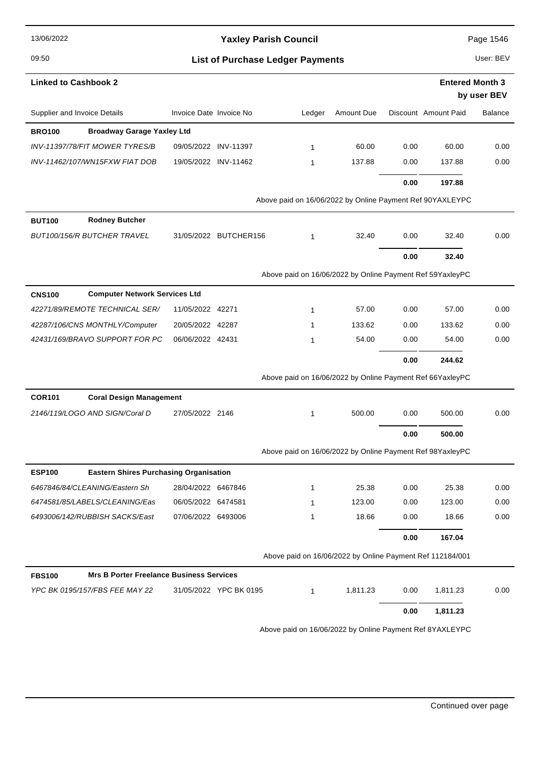| 13/06/2022                                                       | <b>Yaxley Parish Council</b><br><b>List of Purchase Ledger Payments</b> |                        |                                                           |            |      | Page 1546              |                |  |
|------------------------------------------------------------------|-------------------------------------------------------------------------|------------------------|-----------------------------------------------------------|------------|------|------------------------|----------------|--|
| 09:50                                                            |                                                                         |                        |                                                           |            |      | User: BEV              |                |  |
| <b>Linked to Cashbook 2</b>                                      |                                                                         |                        |                                                           |            |      | <b>Entered Month 3</b> |                |  |
|                                                                  |                                                                         |                        |                                                           |            |      |                        | by user BEV    |  |
| Supplier and Invoice Details                                     | Invoice Date Invoice No                                                 |                        | Ledger                                                    | Amount Due |      | Discount Amount Paid   | <b>Balance</b> |  |
| <b>Broadway Garage Yaxley Ltd</b><br><b>BRO100</b>               |                                                                         |                        |                                                           |            |      |                        |                |  |
| INV-11397/78/FIT MOWER TYRES/B                                   | 09/05/2022 INV-11397                                                    |                        | 1                                                         | 60.00      | 0.00 | 60.00                  | 0.00           |  |
| INV-11462/107/WN15FXW FIAT DOB                                   | 19/05/2022 INV-11462                                                    |                        | 1                                                         | 137.88     | 0.00 | 137.88                 | 0.00           |  |
|                                                                  |                                                                         |                        |                                                           |            | 0.00 | 197.88                 |                |  |
|                                                                  |                                                                         |                        | Above paid on 16/06/2022 by Online Payment Ref 90YAXLEYPC |            |      |                        |                |  |
| <b>Rodney Butcher</b><br><b>BUT100</b>                           |                                                                         |                        |                                                           |            |      |                        |                |  |
| <b>BUT100/156/R BUTCHER TRAVEL</b>                               |                                                                         | 31/05/2022 BUTCHER156  | $\mathbf{1}$                                              | 32.40      | 0.00 | 32.40                  | 0.00           |  |
|                                                                  |                                                                         |                        |                                                           |            | 0.00 | 32.40                  |                |  |
|                                                                  |                                                                         |                        | Above paid on 16/06/2022 by Online Payment Ref 59YaxleyPC |            |      |                        |                |  |
| <b>Computer Network Services Ltd</b><br><b>CNS100</b>            |                                                                         |                        |                                                           |            |      |                        |                |  |
| 42271/89/REMOTE TECHNICAL SER/                                   | 11/05/2022 42271                                                        |                        | $\mathbf{1}$                                              | 57.00      | 0.00 | 57.00                  | 0.00           |  |
| 42287/106/CNS MONTHLY/Computer                                   | 20/05/2022 42287                                                        |                        | 1                                                         | 133.62     | 0.00 | 133.62                 | 0.00           |  |
| 42431/169/BRAVO SUPPORT FOR PC                                   | 06/06/2022 42431                                                        |                        | 1                                                         | 54.00      | 0.00 | 54.00                  | 0.00           |  |
|                                                                  |                                                                         |                        |                                                           |            | 0.00 | 244.62                 |                |  |
|                                                                  |                                                                         |                        | Above paid on 16/06/2022 by Online Payment Ref 66YaxleyPC |            |      |                        |                |  |
| <b>COR101</b><br><b>Coral Design Management</b>                  |                                                                         |                        |                                                           |            |      |                        |                |  |
| 2146/119/LOGO AND SIGN/Coral D                                   | 27/05/2022 2146                                                         |                        | $\mathbf{1}$                                              | 500.00     | 0.00 | 500.00                 | 0.00           |  |
|                                                                  |                                                                         |                        |                                                           |            | 0.00 | 500.00                 |                |  |
|                                                                  |                                                                         |                        | Above paid on 16/06/2022 by Online Payment Ref 98YaxleyPC |            |      |                        |                |  |
| <b>ESP100</b><br><b>Eastern Shires Purchasing Organisation</b>   |                                                                         |                        |                                                           |            |      |                        |                |  |
| 6467846/84/CLEANING/Eastern Sh                                   | 28/04/2022 6467846                                                      |                        | $\mathbf{1}$                                              | 25.38      | 0.00 | 25.38                  | 0.00           |  |
| 6474581/85/LABELS/CLEANING/Eas                                   | 06/05/2022 6474581                                                      |                        | 1                                                         | 123.00     | 0.00 | 123.00                 | 0.00           |  |
| 6493006/142/RUBBISH SACKS/East                                   | 07/06/2022 6493006                                                      |                        | $\mathbf{1}$                                              | 18.66      | 0.00 | 18.66                  | 0.00           |  |
|                                                                  |                                                                         |                        |                                                           |            | 0.00 | 167.04                 |                |  |
|                                                                  |                                                                         |                        | Above paid on 16/06/2022 by Online Payment Ref 112184/001 |            |      |                        |                |  |
| <b>Mrs B Porter Freelance Business Services</b><br><b>FBS100</b> |                                                                         |                        |                                                           |            |      |                        |                |  |
| YPC BK 0195/157/FBS FEE MAY 22                                   |                                                                         | 31/05/2022 YPC BK 0195 | 1                                                         | 1,811.23   | 0.00 | 1,811.23               | 0.00           |  |
|                                                                  |                                                                         |                        |                                                           |            | 0.00 | 1,811.23               |                |  |
|                                                                  |                                                                         |                        |                                                           |            |      |                        |                |  |

Above paid on 16/06/2022 by Online Payment Ref 8YAXLEYPC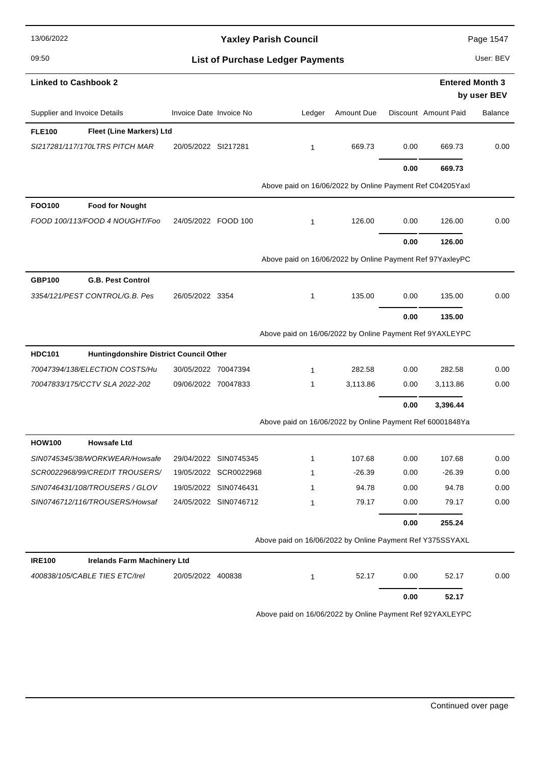| 13/06/2022                                              |                         |                       | <b>Yaxley Parish Council</b>                              |            |      |                        | Page 1547      |
|---------------------------------------------------------|-------------------------|-----------------------|-----------------------------------------------------------|------------|------|------------------------|----------------|
| 09:50                                                   |                         |                       | <b>List of Purchase Ledger Payments</b>                   |            |      |                        | User: BEV      |
| <b>Linked to Cashbook 2</b>                             |                         |                       |                                                           |            |      | <b>Entered Month 3</b> | by user BEV    |
| Supplier and Invoice Details                            | Invoice Date Invoice No |                       | Ledger                                                    | Amount Due |      | Discount Amount Paid   | <b>Balance</b> |
| Fleet (Line Markers) Ltd<br><b>FLE100</b>               |                         |                       |                                                           |            |      |                        |                |
| SI217281/117/170LTRS PITCH MAR                          | 20/05/2022 SI217281     |                       | $\mathbf{1}$                                              | 669.73     | 0.00 | 669.73                 | 0.00           |
|                                                         |                         |                       |                                                           |            | 0.00 | 669.73                 |                |
|                                                         |                         |                       | Above paid on 16/06/2022 by Online Payment Ref C04205Yaxl |            |      |                        |                |
| <b>FOO100</b><br><b>Food for Nought</b>                 |                         |                       |                                                           |            |      |                        |                |
| FOOD 100/113/FOOD 4 NOUGHT/Foo                          | 24/05/2022 FOOD 100     |                       | $\mathbf{1}$                                              | 126.00     | 0.00 | 126.00                 | 0.00           |
|                                                         |                         |                       |                                                           |            | 0.00 | 126.00                 |                |
|                                                         |                         |                       | Above paid on 16/06/2022 by Online Payment Ref 97YaxleyPC |            |      |                        |                |
| <b>G.B. Pest Control</b><br><b>GBP100</b>               |                         |                       |                                                           |            |      |                        |                |
| 3354/121/PEST CONTROL/G.B. Pes                          | 26/05/2022 3354         |                       | $\mathbf{1}$                                              | 135.00     | 0.00 | 135.00                 | 0.00           |
|                                                         |                         |                       |                                                           |            | 0.00 | 135.00                 |                |
|                                                         |                         |                       | Above paid on 16/06/2022 by Online Payment Ref 9YAXLEYPC  |            |      |                        |                |
| <b>HDC101</b><br>Huntingdonshire District Council Other |                         |                       |                                                           |            |      |                        |                |
| 70047394/138/ELECTION COSTS/Hu                          | 30/05/2022 70047394     |                       | $\mathbf{1}$                                              | 282.58     | 0.00 | 282.58                 | 0.00           |
| 70047833/175/CCTV SLA 2022-202                          | 09/06/2022 70047833     |                       | 1                                                         | 3,113.86   | 0.00 | 3,113.86               | 0.00           |
|                                                         |                         |                       |                                                           |            | 0.00 | 3,396.44               |                |
|                                                         |                         |                       | Above paid on 16/06/2022 by Online Payment Ref 60001848Ya |            |      |                        |                |
| <b>HOW100</b><br><b>Howsafe Ltd</b>                     |                         |                       |                                                           |            |      |                        |                |
| SIN0745345/38/WORKWEAR/Howsafe                          |                         | 29/04/2022 SIN0745345 | $\mathbf{1}$                                              | 107.68     | 0.00 | 107.68                 | 0.00           |
| SCR0022968/99/CREDIT TROUSERS/                          |                         | 19/05/2022 SCR0022968 | 1                                                         | $-26.39$   | 0.00 | $-26.39$               | 0.00           |
| SIN0746431/108/TROUSERS / GLOV                          |                         | 19/05/2022 SIN0746431 | 1                                                         | 94.78      | 0.00 | 94.78                  | 0.00           |
| SIN0746712/116/TROUSERS/Howsaf                          |                         | 24/05/2022 SIN0746712 | $\mathbf{1}$                                              | 79.17      | 0.00 | 79.17                  | 0.00           |
|                                                         |                         |                       |                                                           |            | 0.00 | 255.24                 |                |
|                                                         |                         |                       | Above paid on 16/06/2022 by Online Payment Ref Y375SSYAXL |            |      |                        |                |
| <b>IRE100</b><br><b>Irelands Farm Machinery Ltd</b>     |                         |                       |                                                           |            |      |                        |                |
| 400838/105/CABLE TIES ETC/Irel                          | 20/05/2022 400838       |                       | $\mathbf{1}$                                              | 52.17      | 0.00 | 52.17                  | 0.00           |
|                                                         |                         |                       |                                                           |            | 0.00 | 52.17                  |                |
|                                                         |                         |                       | Above paid on 16/06/2022 by Online Payment Ref 92YAXLEYPC |            |      |                        |                |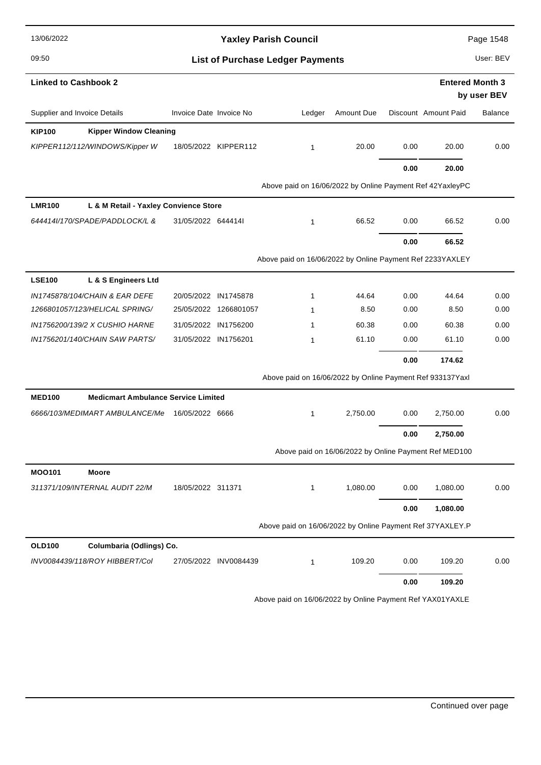| 13/06/2022                                                  |                         |                       | <b>Yaxley Parish Council</b>                              |            |      |                        | Page 1548      |
|-------------------------------------------------------------|-------------------------|-----------------------|-----------------------------------------------------------|------------|------|------------------------|----------------|
| 09:50                                                       |                         |                       | <b>List of Purchase Ledger Payments</b>                   |            |      |                        | User: BEV      |
| <b>Linked to Cashbook 2</b>                                 |                         |                       |                                                           |            |      | <b>Entered Month 3</b> | by user BEV    |
| Supplier and Invoice Details                                | Invoice Date Invoice No |                       | Ledger                                                    | Amount Due |      | Discount Amount Paid   | <b>Balance</b> |
| <b>Kipper Window Cleaning</b><br><b>KIP100</b>              |                         |                       |                                                           |            |      |                        |                |
| KIPPER112/112/WINDOWS/Kipper W                              |                         | 18/05/2022 KIPPER112  | $\mathbf{1}$                                              | 20.00      | 0.00 | 20.00                  | 0.00           |
|                                                             |                         |                       |                                                           |            | 0.00 | 20.00                  |                |
|                                                             |                         |                       | Above paid on 16/06/2022 by Online Payment Ref 42YaxleyPC |            |      |                        |                |
| <b>LMR100</b><br>L & M Retail - Yaxley Convience Store      |                         |                       |                                                           |            |      |                        |                |
| 644414I/170/SPADE/PADDLOCK/L &                              | 31/05/2022 6444141      |                       | $\mathbf{1}$                                              | 66.52      | 0.00 | 66.52                  | 0.00           |
|                                                             |                         |                       |                                                           |            | 0.00 | 66.52                  |                |
|                                                             |                         |                       | Above paid on 16/06/2022 by Online Payment Ref 2233YAXLEY |            |      |                        |                |
| <b>LSE100</b><br>L & S Engineers Ltd                        |                         |                       |                                                           |            |      |                        |                |
| IN1745878/104/CHAIN & EAR DEFE                              | 20/05/2022 IN1745878    |                       | 1                                                         | 44.64      | 0.00 | 44.64                  | 0.00           |
| 1266801057/123/HELICAL SPRING/                              |                         | 25/05/2022 1266801057 | 1                                                         | 8.50       | 0.00 | 8.50                   | 0.00           |
| IN1756200/139/2 X CUSHIO HARNE                              | 31/05/2022 IN1756200    |                       | 1                                                         | 60.38      | 0.00 | 60.38                  | 0.00           |
| IN1756201/140/CHAIN SAW PARTS/                              | 31/05/2022 IN1756201    |                       | 1                                                         | 61.10      | 0.00 | 61.10                  | 0.00           |
|                                                             |                         |                       |                                                           |            | 0.00 | 174.62                 |                |
|                                                             |                         |                       | Above paid on 16/06/2022 by Online Payment Ref 933137Yaxl |            |      |                        |                |
| <b>MED100</b><br><b>Medicmart Ambulance Service Limited</b> |                         |                       |                                                           |            |      |                        |                |
| 6666/103/MEDIMART AMBULANCE/Me                              | 16/05/2022 6666         |                       | 1                                                         | 2,750.00   | 0.00 | 2,750.00               | 0.00           |
|                                                             |                         |                       |                                                           |            | 0.00 | 2.750.00               |                |
|                                                             |                         |                       | Above paid on 16/06/2022 by Online Payment Ref MED100     |            |      |                        |                |
| <b>MOO101</b><br>Moore                                      |                         |                       |                                                           |            |      |                        |                |
| 311371/109/INTERNAL AUDIT 22/M                              | 18/05/2022 311371       |                       | 1                                                         | 1,080.00   | 0.00 | 1,080.00               | 0.00           |
|                                                             |                         |                       |                                                           |            | 0.00 | 1,080.00               |                |
|                                                             |                         |                       | Above paid on 16/06/2022 by Online Payment Ref 37YAXLEY.P |            |      |                        |                |
| <b>OLD100</b><br>Columbaria (Odlings) Co.                   |                         |                       |                                                           |            |      |                        |                |
| INV0084439/118/ROY HIBBERT/Col                              |                         | 27/05/2022 INV0084439 | $\mathbf{1}$                                              | 109.20     | 0.00 | 109.20                 | 0.00           |
|                                                             |                         |                       |                                                           |            | 0.00 | 109.20                 |                |

Above paid on 16/06/2022 by Online Payment Ref YAX01YAXLE